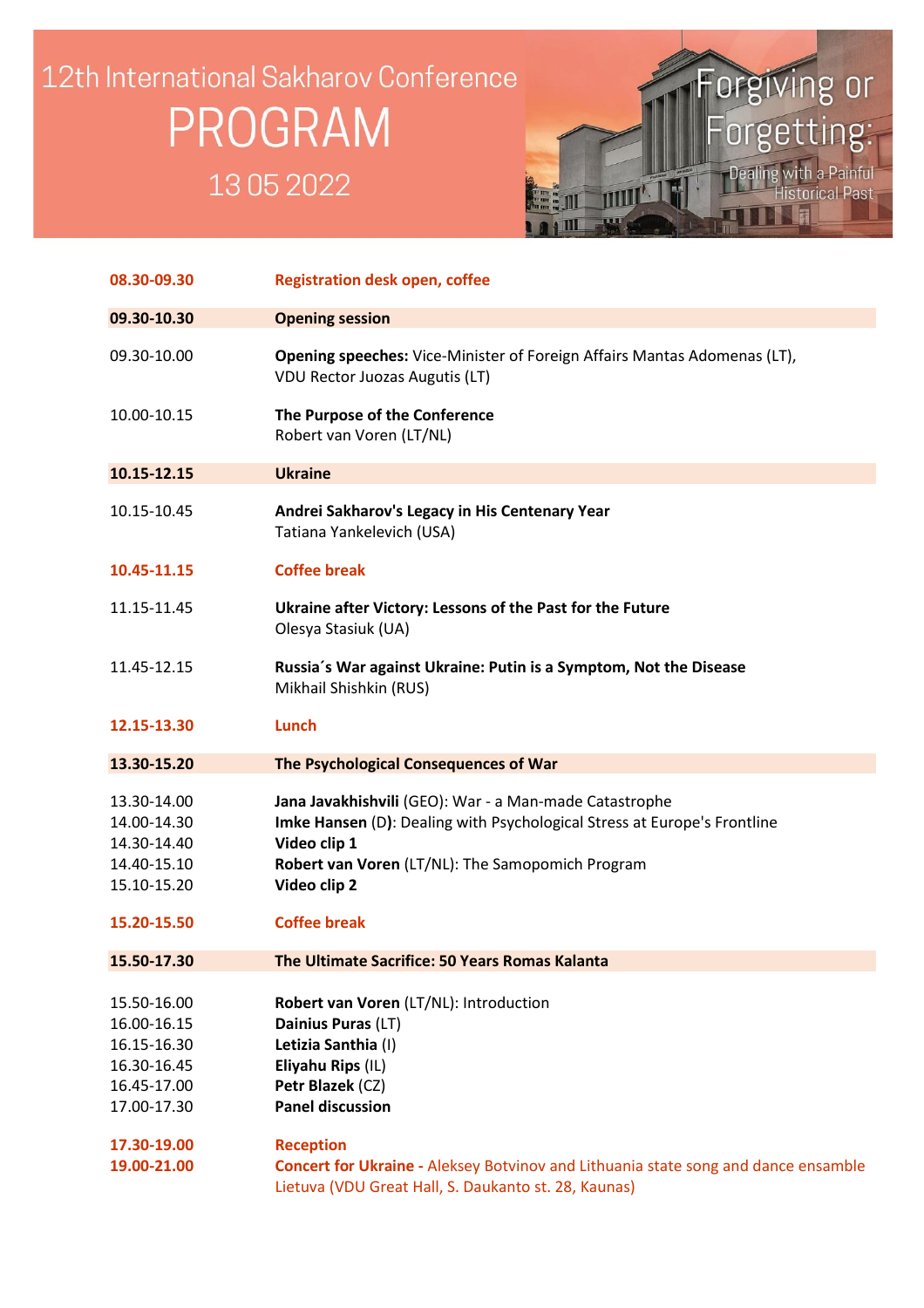## 12th International Sakharov Conference PROGRAM 13052022



| 08.30-09.30                                                                            | <b>Registration desk open, coffee</b>                                                                                                                                                                                  |
|----------------------------------------------------------------------------------------|------------------------------------------------------------------------------------------------------------------------------------------------------------------------------------------------------------------------|
| 09.30-10.30                                                                            | <b>Opening session</b>                                                                                                                                                                                                 |
| 09.30-10.00                                                                            | <b>Opening speeches:</b> Vice-Minister of Foreign Affairs Mantas Adomenas (LT),<br><b>VDU Rector Juozas Augutis (LT)</b>                                                                                               |
| 10.00-10.15                                                                            | The Purpose of the Conference<br>Robert van Voren (LT/NL)                                                                                                                                                              |
| 10.15-12.15                                                                            | <b>Ukraine</b>                                                                                                                                                                                                         |
| 10.15-10.45                                                                            | Andrei Sakharov's Legacy in His Centenary Year<br>Tatiana Yankelevich (USA)                                                                                                                                            |
| 10.45-11.15                                                                            | <b>Coffee break</b>                                                                                                                                                                                                    |
| 11.15-11.45                                                                            | Ukraine after Victory: Lessons of the Past for the Future<br>Olesya Stasiuk (UA)                                                                                                                                       |
| 11.45-12.15                                                                            | Russia's War against Ukraine: Putin is a Symptom, Not the Disease<br>Mikhail Shishkin (RUS)                                                                                                                            |
| 12.15-13.30                                                                            | <b>Lunch</b>                                                                                                                                                                                                           |
| 13.30-15.20                                                                            | The Psychological Consequences of War                                                                                                                                                                                  |
| 13.30-14.00<br>14.00-14.30<br>14.30-14.40<br>14.40-15.10<br>15.10-15.20                | Jana Javakhishvili (GEO): War - a Man-made Catastrophe<br>Imke Hansen (D): Dealing with Psychological Stress at Europe's Frontline<br>Video clip 1<br>Robert van Voren (LT/NL): The Samopomich Program<br>Video clip 2 |
| 15.20-15.50                                                                            | <b>Coffee break</b>                                                                                                                                                                                                    |
| 15.50-17.30                                                                            | The Ultimate Sacrifice: 50 Years Romas Kalanta                                                                                                                                                                         |
| 15.50-16.00<br>16.00-16.15<br>16.15-16.30<br>16.30-16.45<br>16.45-17.00<br>17.00-17.30 | Robert van Voren (LT/NL): Introduction<br>Dainius Puras (LT)<br>Letizia Santhia (I)<br>Eliyahu Rips (IL)<br>Petr Blazek (CZ)<br><b>Panel discussion</b>                                                                |
| 17.30-19.00<br>19.00-21.00                                                             | <b>Reception</b><br><b>Concert for Ukraine - Aleksey Botvinov and Lithuania state song and dance ensamble</b><br>Lietuva (VDU Great Hall, S. Daukanto st. 28, Kaunas)                                                  |

Ĩ